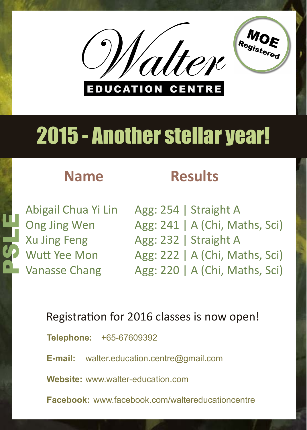## 2015 - Another stellar year!



Agg: 254 | Straight A Agg: 241 | A (Chi, Maths, Sci) Agg: 232 | Straight A Agg: 222 | A (Chi, Maths, Sci) Agg: 220 | A (Chi, Maths, Sci)

Abigail Chua Yi Lin Ong Jing Wen Xu Jing Feng Wutt Yee Mon Vanasse Chang

**PSLEEP** 





### Registration for 2016 classes is now open!

**Telephone:** +65-67609392

**E-mail:** walter.education.centre@gmail.com

**Website:** www.walter-education.com

#### **Facebook:** www.facebook.com/waltereducationcentre